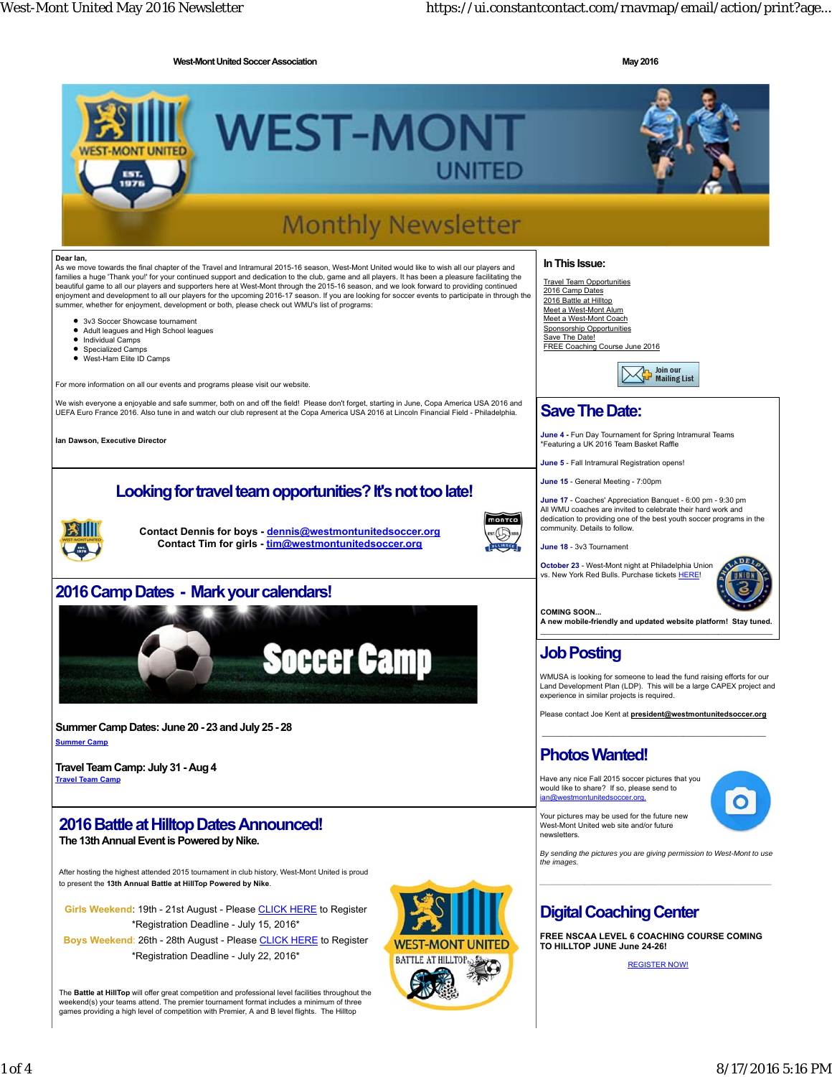**West-Mont United Soccer Association Contract Association May 2016** 

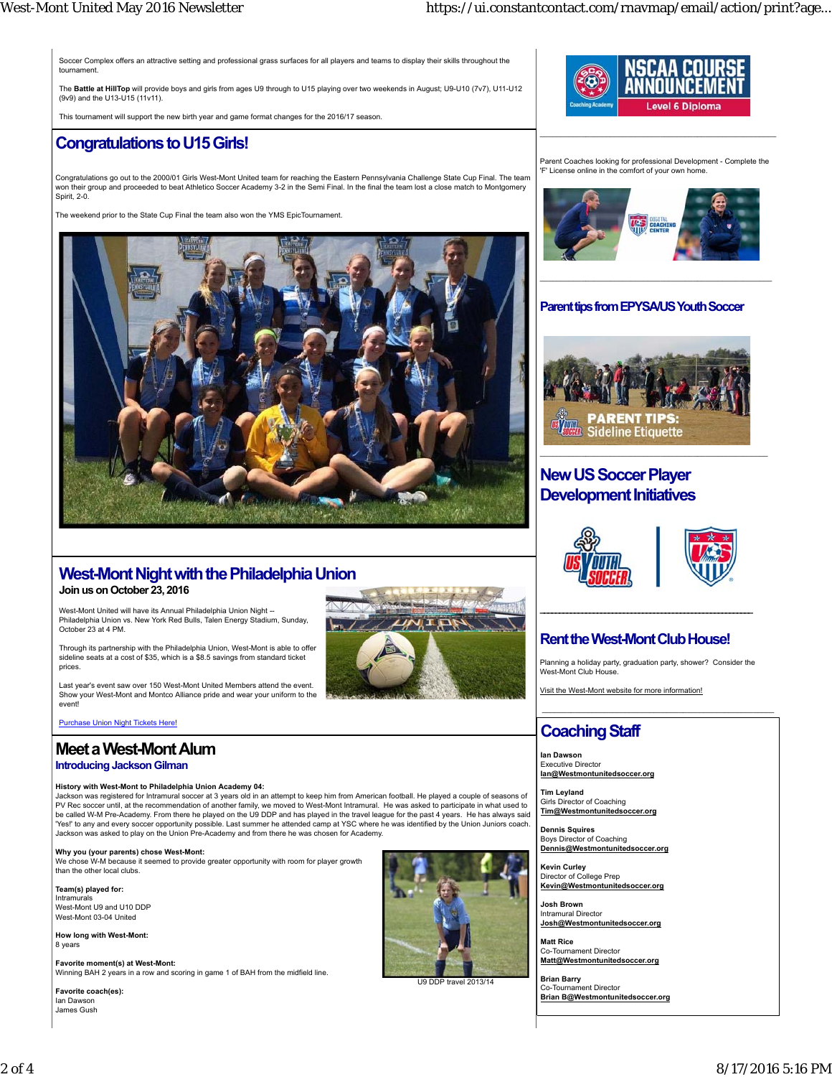Soccer Complex offers an attractive setting and professional grass surfaces for all players and teams to display their skills throughout the tournament.

The **Battle at HillTop** will provide boys and girls from ages U9 through to U15 playing over two weekends in August; U9-U10 (7v7), U11-U12 (9v9) and the U13-U15 (11v11).

This tournament will support the new birth year and game format changes for the 2016/17 season.

#### **Congratulations to U15 Girls!**

Congratulations go out to the 2000/01 Girls West-Mont United team for reaching the Eastern Pennsylvania Challenge State Cup Final. The team won their group and proceeded to beat Athletico Soccer Academy 3-2 in the Semi Final. In the final the team lost a close match to Montgomery Spirit, 2-0.

The weekend prior to the State Cup Final the team also won the YMS EpicTournament.



# **Level 6 Diploma**

Parent Coaches looking for professional Development - Complete the 'F' License online in the comfort of your own home.

 $\mathcal{L}_\text{max}$  and the contract of the contract of the contract of the contract of the contract of the contract of



#### **Parent tips from EPYSA/US Youth Soccer**



## **New US Soccer Player Development Initiatives**





#### **Rent the West-Mont Club House!**

Planning a holiday party, graduation party, shower? Consider the West-Mont Club House.

Visit the West-Mont website for more information!

#### **Coaching Staff**

**Ian Dawson** Executive Director **Ian@Westmontunitedsoccer.org**

**Tim Leyland** Girls Director of Coaching **Tim@Westmontunitedsoccer.org**

**Dennis Squires** Boys Director of Coaching **Dennis@Westmontunitedsoccer.org**

**Kevin Curley** Director of College Prep **Kevin@Westmontunitedsoccer.org**

**Josh Brown** Intramural Director **Josh@Westmontunitedsoccer.org**

**Matt Rice** Co-Tournament Director **Matt@Westmontunitedsoccer.org**

**Brian Barry** Co-Tournament Director **Brian B@Westmontunitedsoccer.org**

# **West-Mont Night with the Philadelphia Union**

**Join us on October 23, 2016**

West-Mont United will have its Annual Philadelphia Union Night --Philadelphia Union vs. New York Red Bulls, Talen Energy Stadium, Sunday, October 23 at 4 PM.

Through its partnership with the Philadelphia Union, West-Mont is able to offer sideline seats at a cost of \$35, which is a \$8.5 savings from standard ticket prices



ast vear's event saw over 150 West-Mont United Members attend the event. Show your West-Mont and Montco Alliance pride and wear your uniform to the event!

Purchase Union Night Tickets Here!

#### **Meet a West-Mont Alum**

#### **Introducing Jackson Gilman**

#### **History with West-Mont to Philadelphia Union Academy 04:**

Jackson was registered for Intramural soccer at 3 years old in an attempt to keep him from American football. He played a couple of seasons of<br>PV Rec soccer until, at the recommendation of another family, we moved to Westbe called W-M Pre-Academy. From there he played on the U9 DDP and has played in the travel league for the past 4 years. He has always said 'Yes!' to any and every soccer opportunity possible. Last summer he attended camp at YSC where he was identified by the Union Juniors coach. Jackson was asked to play on the Union Pre-Academy and from there he was chosen for Academy.

#### **Why you (your parents) chose West-Mont:**

lose W-M because it seemed to provide greater opportunity with room for player growth than the other local clubs.

**Team(s) played for:**

Intramurals West-Mont U9 and U10 DDP West-Mont 03-04 United

**How long with West-Mont:** 8 years

**Favorite moment(s) at West-Mont:** Winning BAH 2 years in a row and scoring in game 1 of BAH from the midfield line.

**Favorite coach(es):** Ian Dawson James Gush



U9 DDP travel 2013/14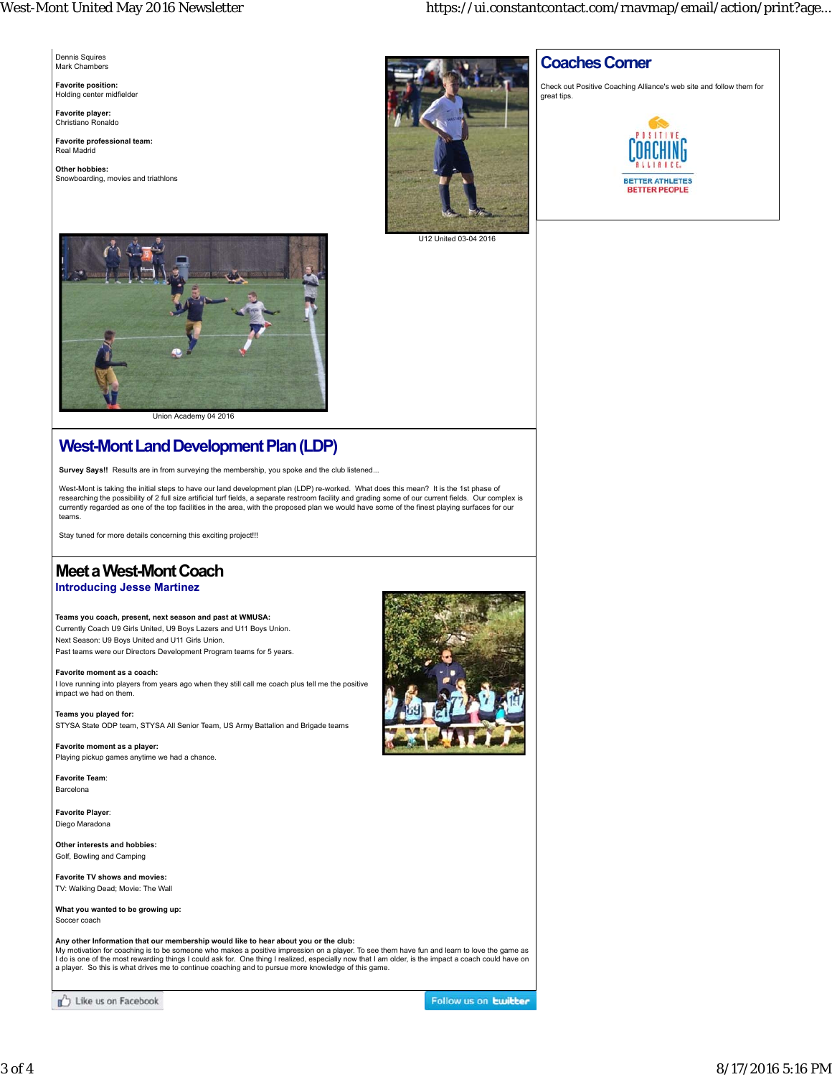Dennis Squires Mark Chambers

**Favorite position:** Holding center midfielder

**Favorite player:** Christiano Ronaldo

**Favorite professional team:** Real Madrid

**Other hobbies:** Snowboarding, movies and triathlons



#### **Coaches Corner**

Check out Positive Coaching Alliance's web site and follow them for great tips.



U12 United 03-04 2016



Union Academy 04 2016

# **West-Mont Land Development Plan (LDP)**

Survey Says!! Results are in from surveying the membership, you spoke and the club listened..

West-Mont is taking the initial steps to have our land development plan (LDP) re-worked. What does this mean? It is the 1st phase of researching the possibility of 2 full size artificial turf fields, a separate restroom facility and grading some of our current fields. Our complex is<br>currently regarded as one of the top facilities in the area, with the teams.

Stay tuned for more details concerning this exciting project!!!

# **Meet a West-Mont Coach**

#### **Introducing Jesse Martinez**

**Teams you coach, present, next season and past at WMUSA:** Currently Coach U9 Girls United, U9 Boys Lazers and U11 Boys Union. Next Season: U9 Boys United and U11 Girls Union.

Past teams were our Directors Development Program teams for 5 years.

**Favorite moment as a coach:** I love running into players from years ago when they still call me coach plus tell me the positive impact we had on them.

**Teams you played for:** STYSA State ODP team, STYSA All Senior Team, US Army Battalion and Brigade teams

**Favorite moment as a player:** Playing pickup games anytime we had a chance.

**Favorite Team**: **Barcelona** 

**Favorite Player**: Diego Maradona

**Other interests and hobbies:** Golf, Bowling and Camping

**Favorite TV shows and movies:** TV: Walking Dead; Movie: The Wall

**What you wanted to be growing up:** Soccer coach

Any other Information that our membership would like to hear about you or the club:<br>My motivation for coaching is to be someone who makes a positive impression on a player. To see them have fun and learn to love the game a

Like us on Facebook